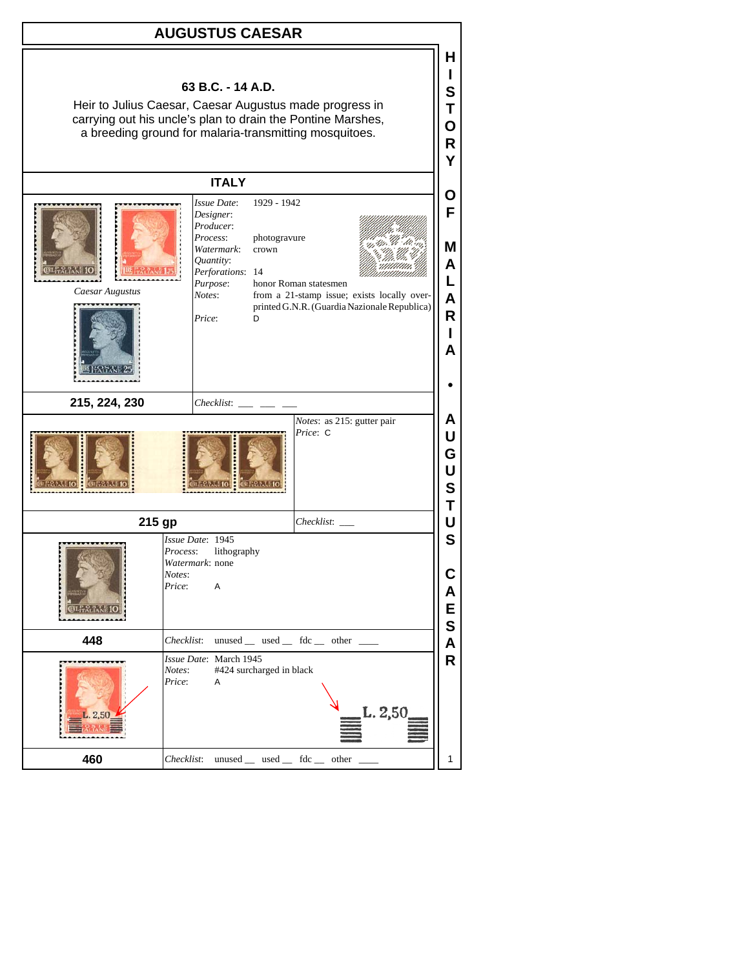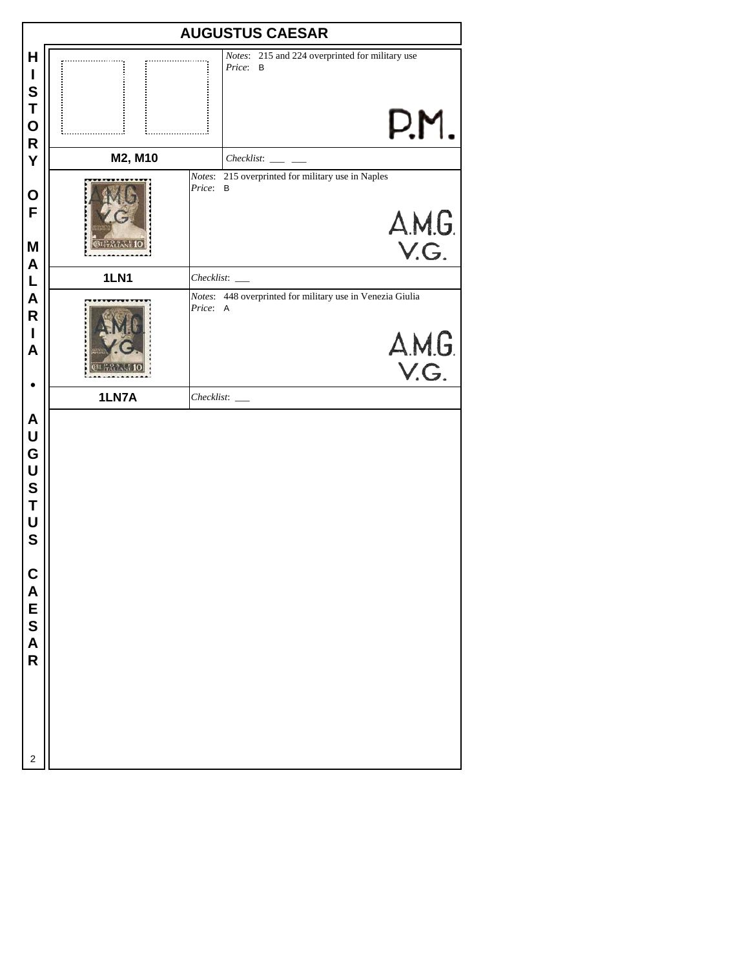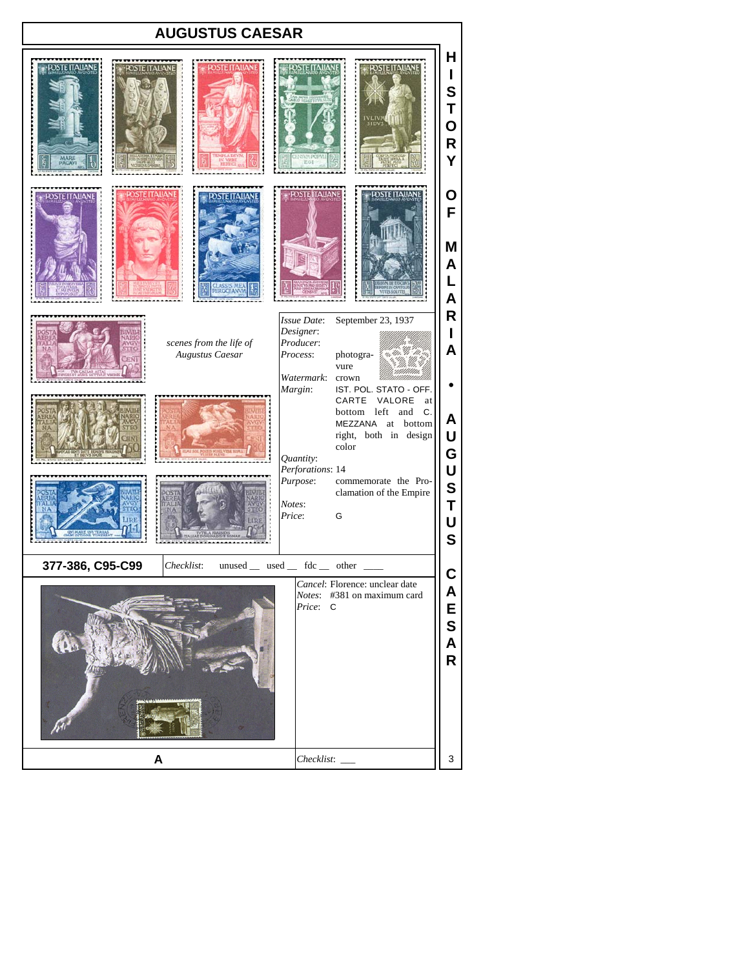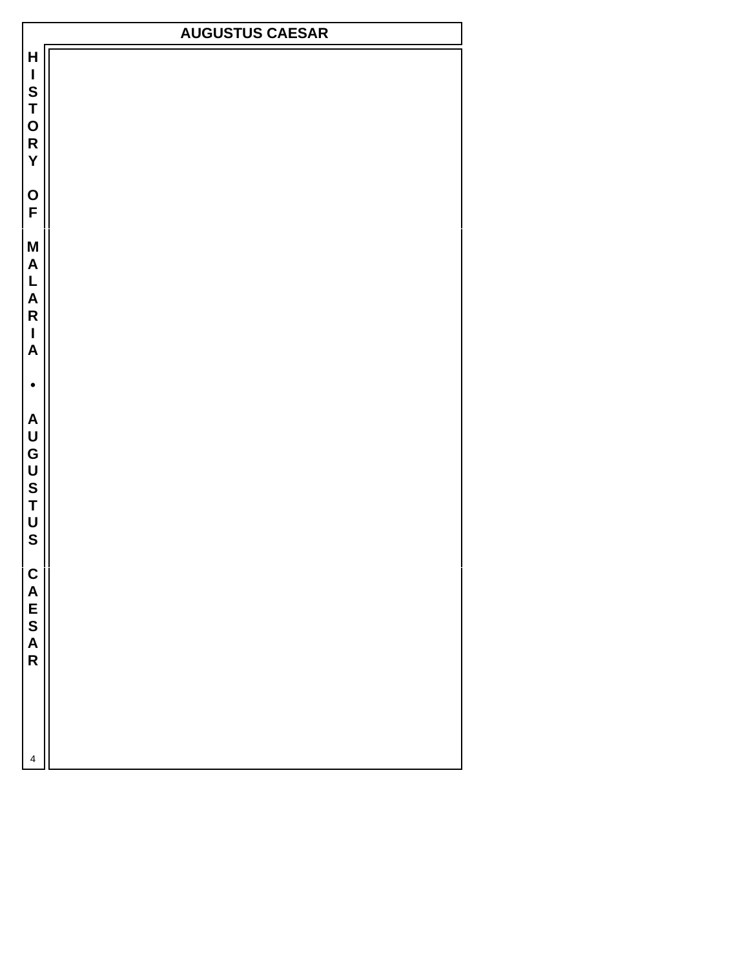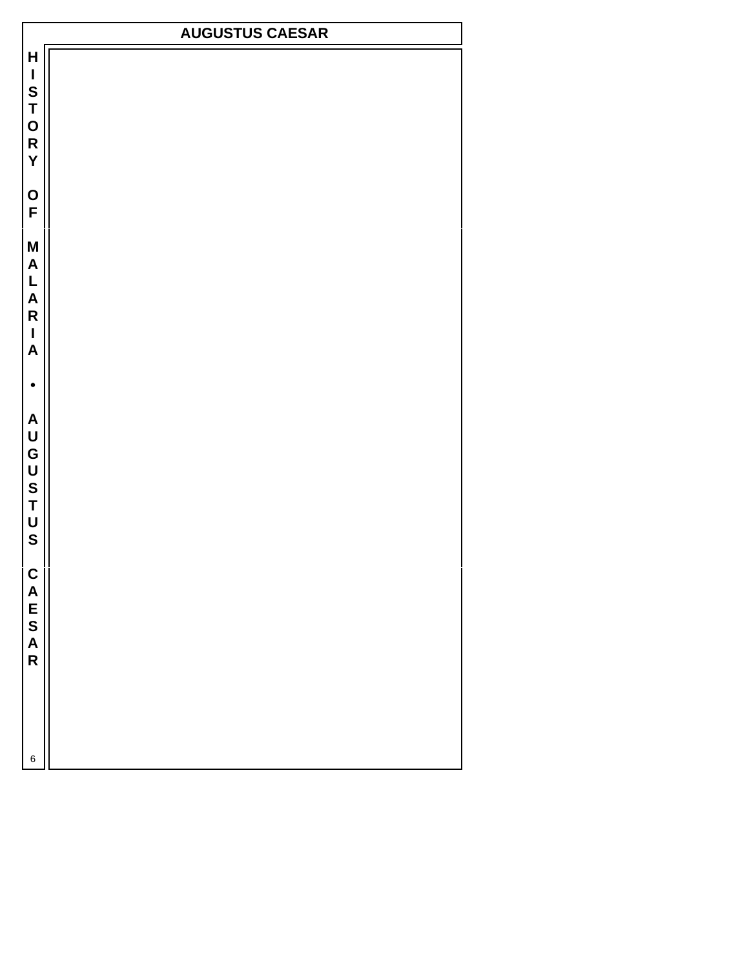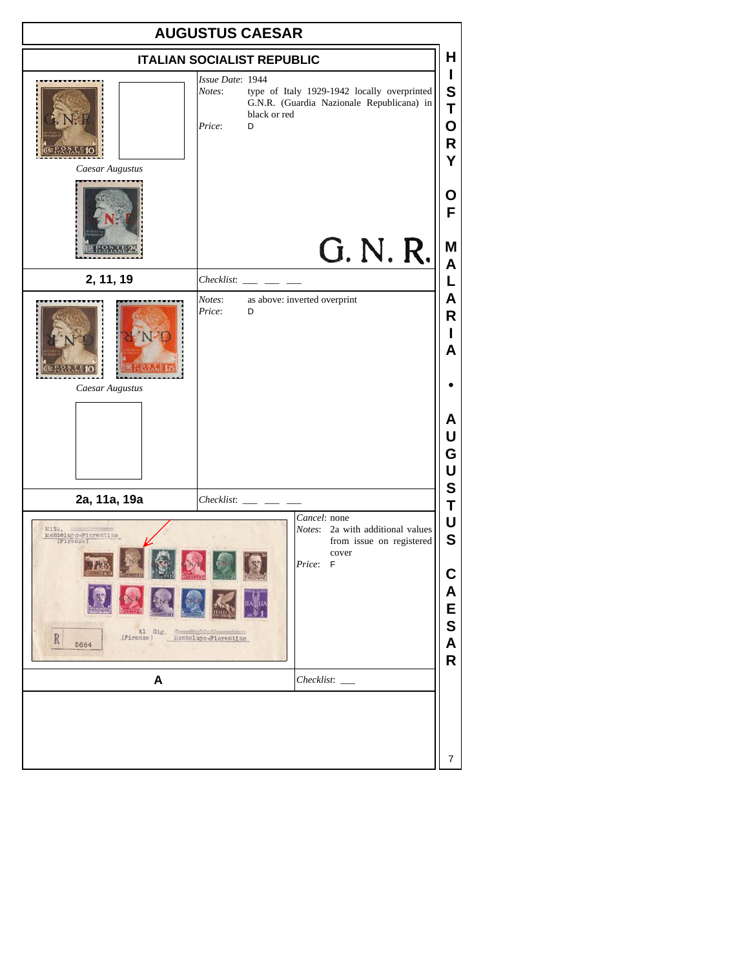|                                                                                                                                                                                             | <b>AUGUSTUS CAESAR</b>                                                                                                                                |                                                |
|---------------------------------------------------------------------------------------------------------------------------------------------------------------------------------------------|-------------------------------------------------------------------------------------------------------------------------------------------------------|------------------------------------------------|
|                                                                                                                                                                                             | <b>ITALIAN SOCIALIST REPUBLIC</b>                                                                                                                     | н                                              |
| Caesar Augustus                                                                                                                                                                             | Issue Date: 1944<br>Notes:<br>type of Italy 1929-1942 locally overprinted<br>G.N.R. (Guardia Nazionale Republicana) in<br>black or red<br>Price:<br>D | I<br>${\mathbf S}$<br>T<br>O<br>R<br>Y         |
|                                                                                                                                                                                             | G. N. R.                                                                                                                                              | O<br>F<br>Μ                                    |
| 2, 11, 19                                                                                                                                                                                   | Checklist:                                                                                                                                            | A<br>L                                         |
| Caesar Augustus                                                                                                                                                                             | Notes:<br>as above: inverted overprint<br>Price:<br>D                                                                                                 | Α<br>R<br>ı<br>A<br>А<br>U<br>G<br>U           |
| 2a, 11a, 19a                                                                                                                                                                                | Checklist:                                                                                                                                            | S<br>Τ                                         |
| Cancel: none<br>Notes: 2a with additional values<br>1111<br>Montelupo-Fiorentino<br>from issue on registered<br>cover<br>Price: F<br>Al Sig. Montelupo Fiorentino<br>R<br>(Firenze)<br>5664 |                                                                                                                                                       | U<br>$\mathbf S$<br>C<br>Α<br>E<br>S<br>A<br>R |
| A                                                                                                                                                                                           | $Checklist:$ $\_\_$                                                                                                                                   |                                                |
|                                                                                                                                                                                             |                                                                                                                                                       | 7                                              |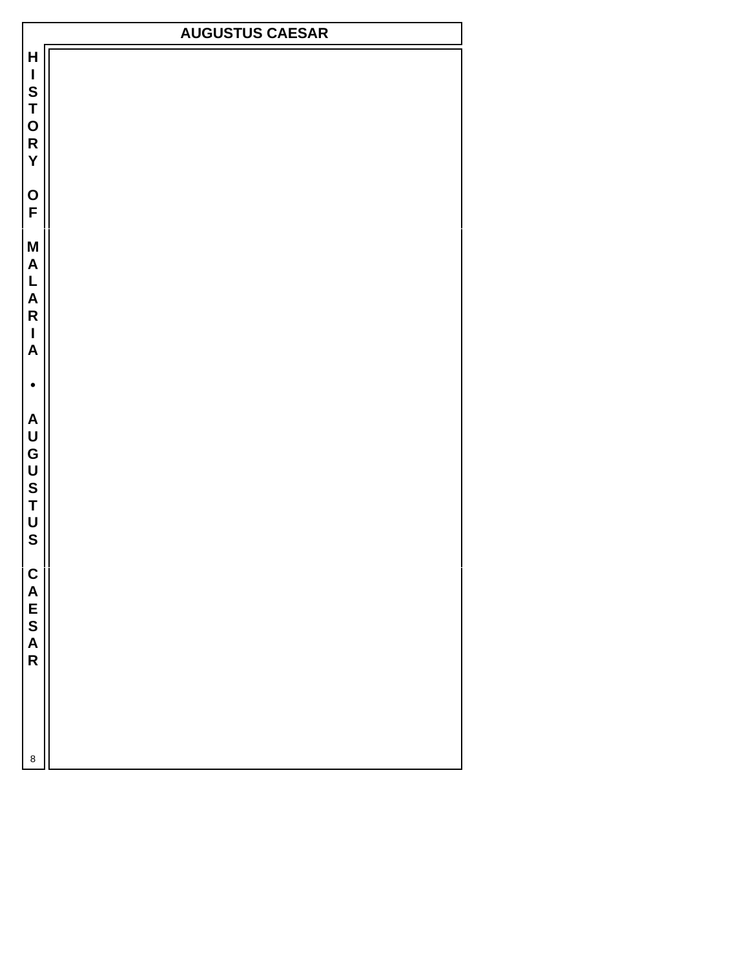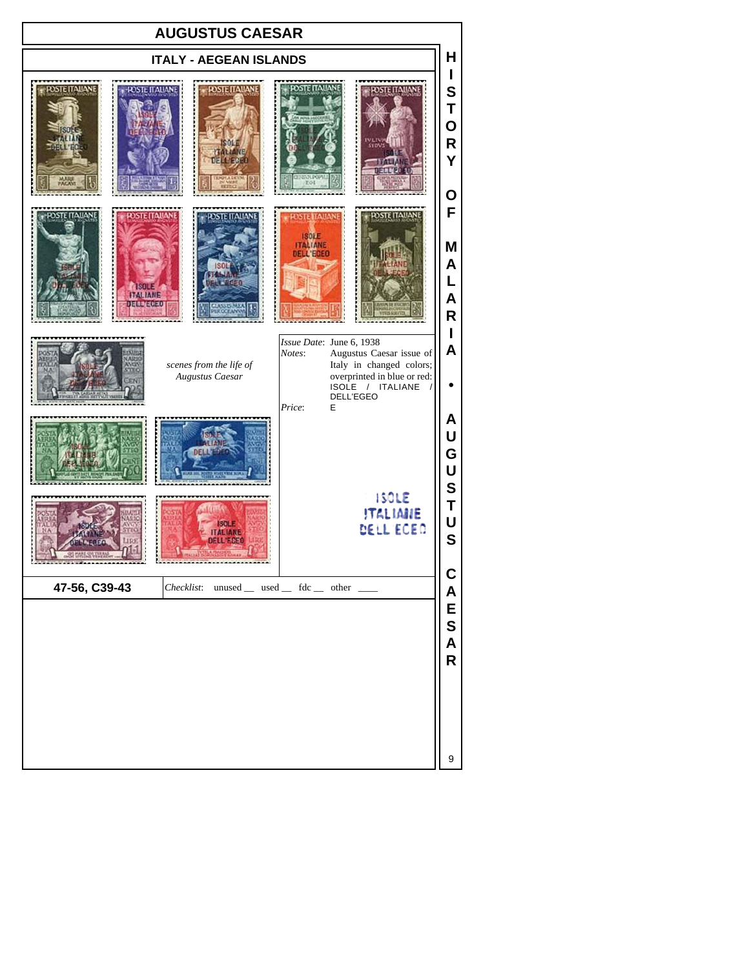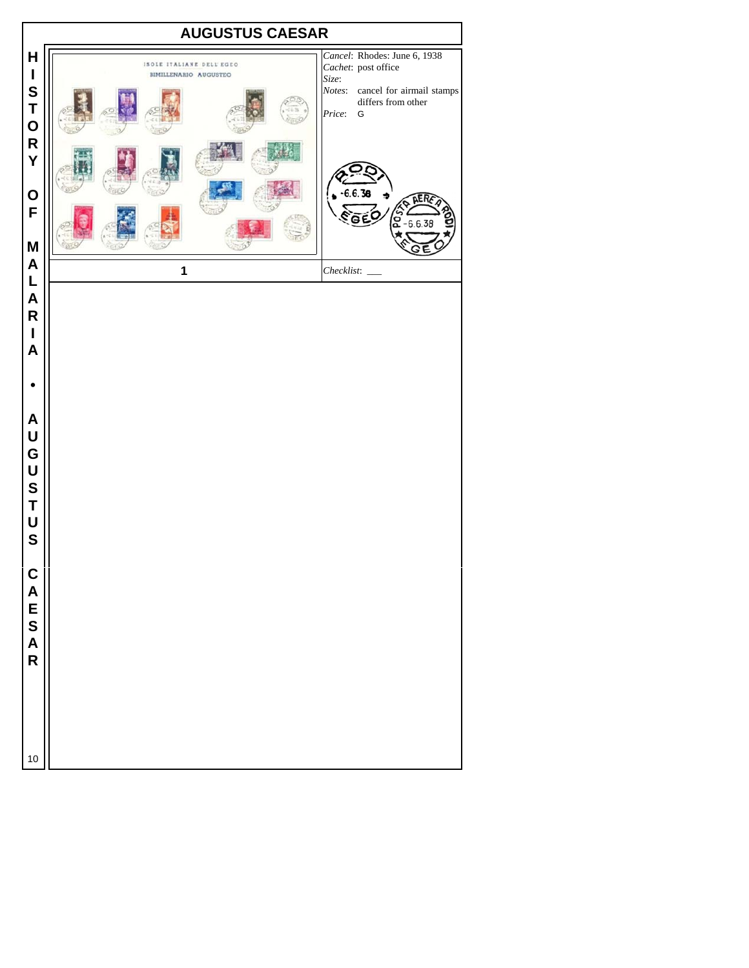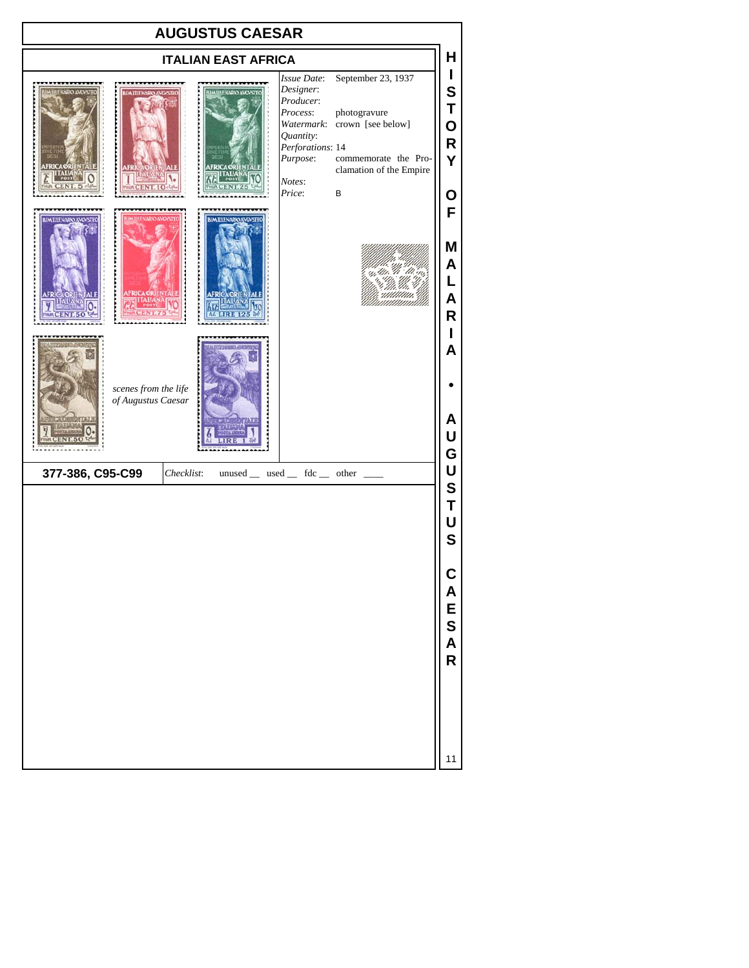| <b>AUGUSTUS CAESAR</b>                                                                                                                                                                                                                                                                                                               |                                 |
|--------------------------------------------------------------------------------------------------------------------------------------------------------------------------------------------------------------------------------------------------------------------------------------------------------------------------------------|---------------------------------|
| <b>ITALIAN EAST AFRICA</b>                                                                                                                                                                                                                                                                                                           | н                               |
| September 23, 1937<br>Issue Date:<br>Designer:<br><b>IMILLE KARO AVGVSTEO</b><br><b>IF NARIO AVEVSTED</b><br>Producer:<br>photogravure<br>Process:<br>crown [see below]<br>Watermark:<br>Quantity:<br>Perforations: 14<br>Purpose:<br>commemorate the Pro-<br><b>FRICAORIENT</b><br>clamation of the Empire<br>Notes:<br>Price:<br>B | T<br>S<br>Т<br>O<br>R<br>Ý<br>Ο |
| <b>HENARIO AVO</b><br><b>BIMILIENARIO AVGVST</b><br><b>UM THENARIO AVOVS</b><br>m<br><b>AFRICA ORIENTAL</b><br><b>AFRICA ORIEN TALE</b><br>ITALIANA                                                                                                                                                                                  | F<br>M<br>Α<br>L<br>Α<br>R      |
| scenes from the life<br>of Augustus Caesar                                                                                                                                                                                                                                                                                           | A<br>А<br>U<br>G                |
| 377-386, C95-C99<br>$unused$ __ used __ fdc __ other __<br>Checklist:                                                                                                                                                                                                                                                                | U<br>S<br>T                     |
|                                                                                                                                                                                                                                                                                                                                      | U<br>$\mathbf{s}$               |

**C A E S A R**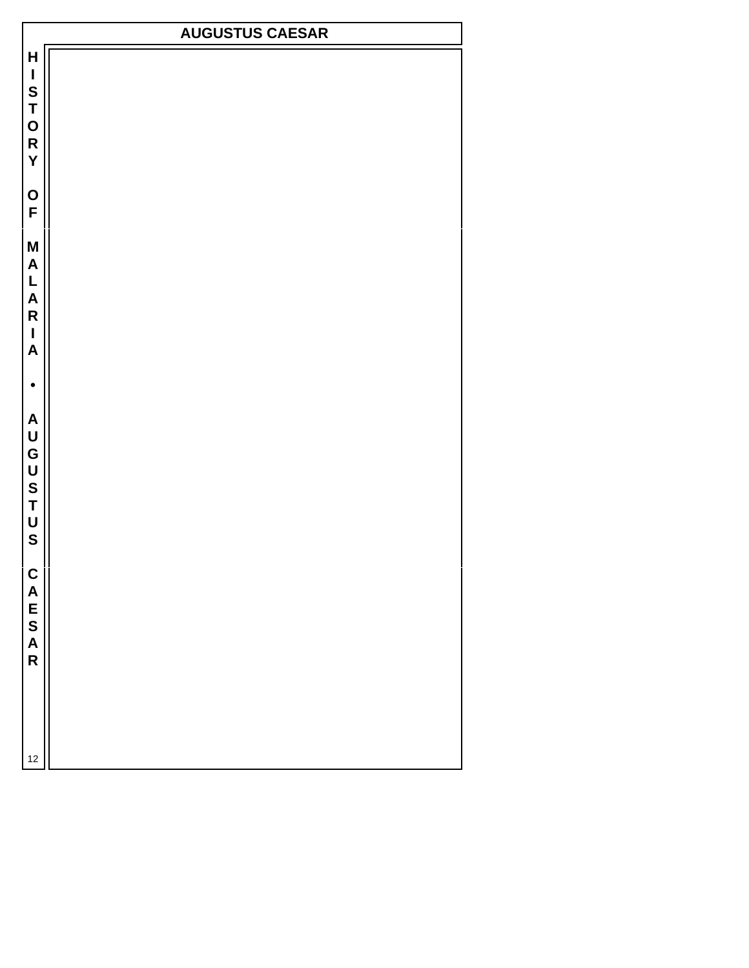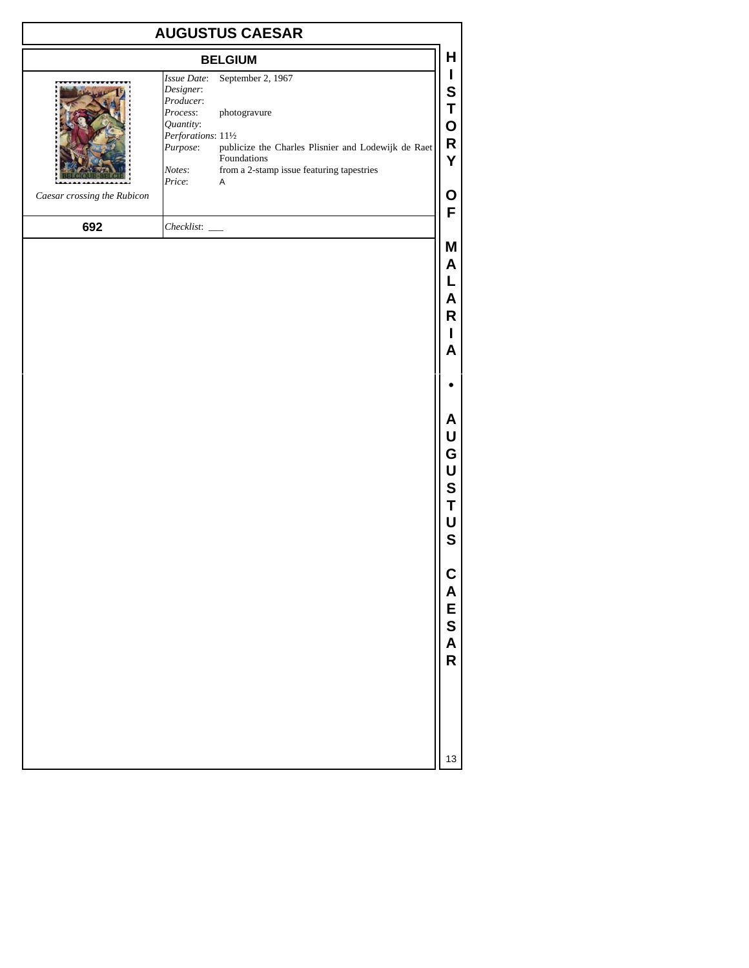| <b>AUGUSTUS CAESAR</b>      |                                                                                                                                                                                                                                                                                              |                                                |
|-----------------------------|----------------------------------------------------------------------------------------------------------------------------------------------------------------------------------------------------------------------------------------------------------------------------------------------|------------------------------------------------|
|                             | <b>BELGIUM</b>                                                                                                                                                                                                                                                                               | Н                                              |
| Caesar crossing the Rubicon | September 2, 1967<br>Issue Date:<br>Designer:<br>Producer:<br>Process:<br>photogravure<br>Quantity:<br>Perforations: 111/2<br>publicize the Charles Plisnier and Lodewijk de Raet<br>Purpose:<br>Foundations<br>from a 2-stamp issue featuring tapestries<br>Notes:<br>Price:<br>$\mathsf A$ | L<br>S<br>Τ<br>O<br>R<br>Υ<br>Ο                |
| 692                         | $Checklist:$ $\_\_$                                                                                                                                                                                                                                                                          | F                                              |
|                             |                                                                                                                                                                                                                                                                                              | Μ<br>A<br>L<br>A<br>R<br>L<br>A                |
|                             |                                                                                                                                                                                                                                                                                              |                                                |
|                             |                                                                                                                                                                                                                                                                                              | A<br>U<br>G<br>U<br>S<br>T<br>U<br>$\mathbf S$ |
|                             |                                                                                                                                                                                                                                                                                              | CAESAR                                         |
|                             |                                                                                                                                                                                                                                                                                              | 13                                             |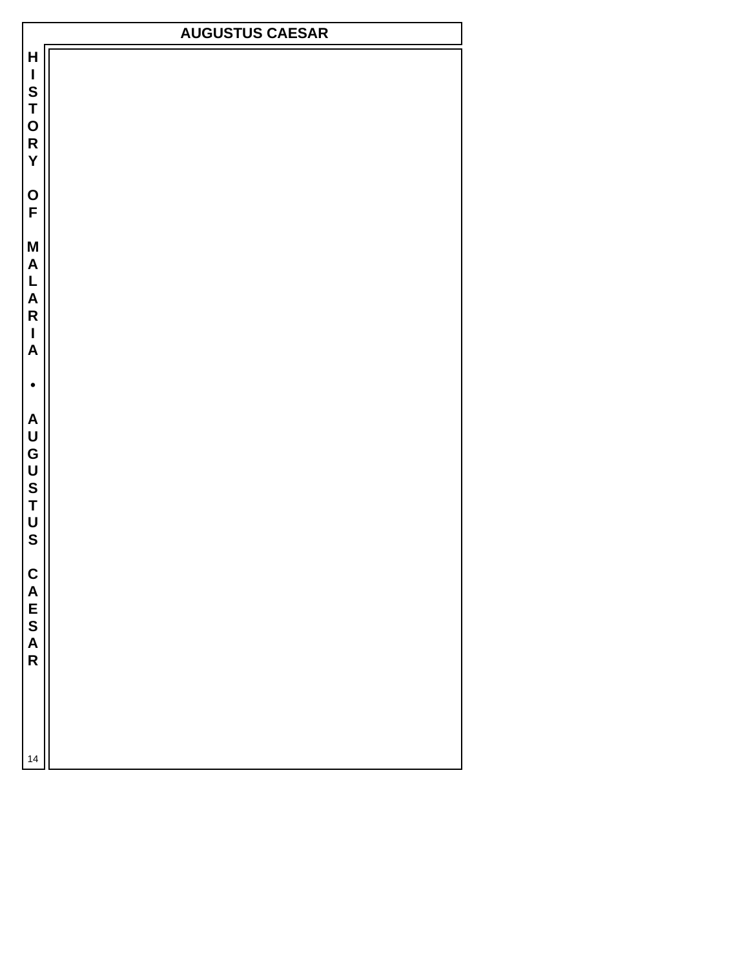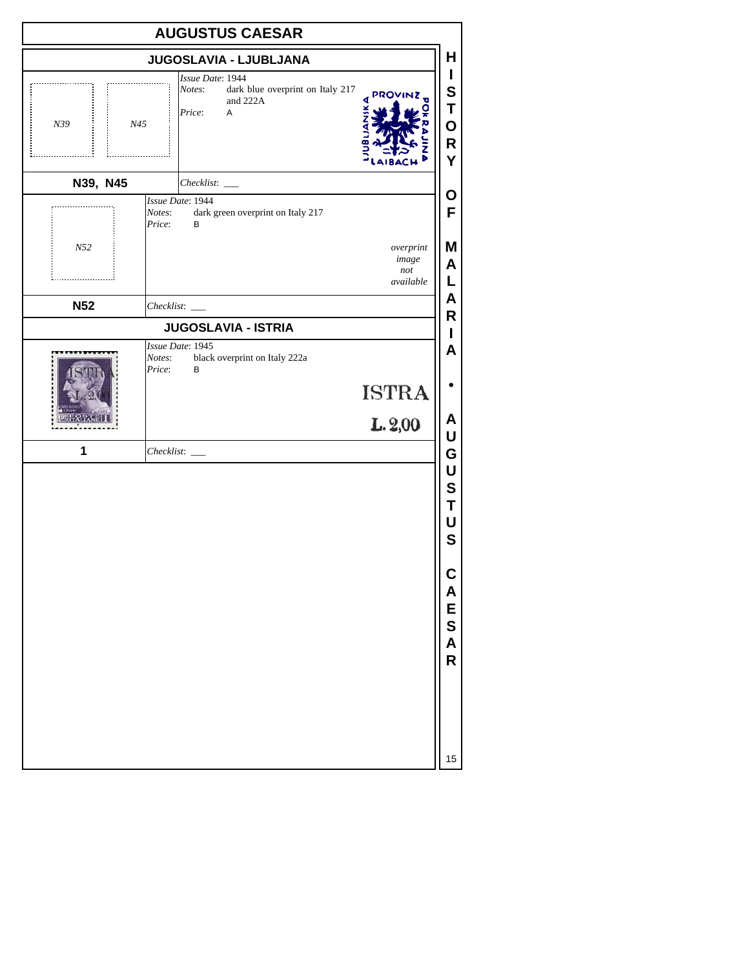|                 | <b>AUGUSTUS CAESAR</b>                                                                                      |                                       |
|-----------------|-------------------------------------------------------------------------------------------------------------|---------------------------------------|
|                 | JUGOSLAVIA - LJUBLJANA                                                                                      | н                                     |
| N39<br>N45<br>. | Issue Date: 1944<br>dark blue overprint on Italy 217<br>Notes:<br><b>PROVINZ</b><br>and 222A<br>Price:<br>Α | L<br>S<br>T<br>O<br>R<br>Y            |
| N39, N45        | Checklist: _____                                                                                            |                                       |
|                 | Issue Date: 1944<br>dark green overprint on Italy 217<br>Notes:<br>Price:<br>B                              | O<br>F                                |
| $N52$           | overprint<br>image<br>not<br>available                                                                      | Μ<br>A<br>L                           |
| <b>N52</b>      |                                                                                                             | A<br>R                                |
|                 | <b>JUGOSLAVIA - ISTRIA</b>                                                                                  | L                                     |
|                 | Issue Date: 1945<br>black overprint on Italy 222a<br>Notes:<br>Price:<br>В                                  | A                                     |
|                 | <b>ISTRA</b>                                                                                                |                                       |
|                 | L.2,00                                                                                                      | A<br>U                                |
| 1               |                                                                                                             | G                                     |
|                 |                                                                                                             | U<br>S<br>T<br>U<br>$\mathbf S$       |
|                 |                                                                                                             | $\mathsf{C}$<br>A<br>E<br>S<br>A<br>R |
|                 |                                                                                                             | 15                                    |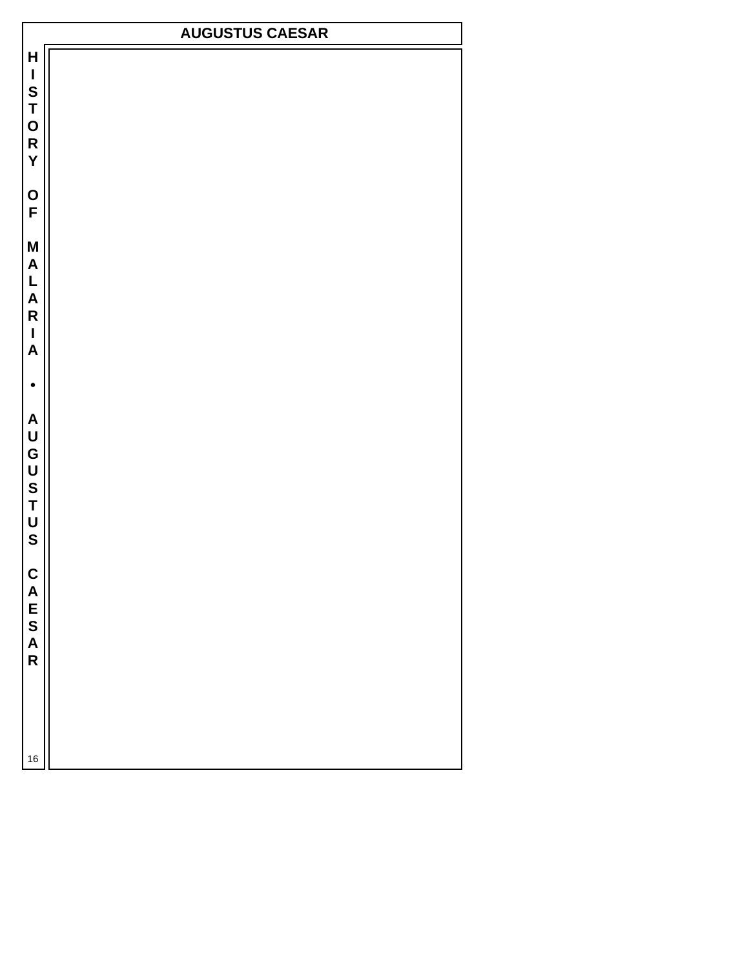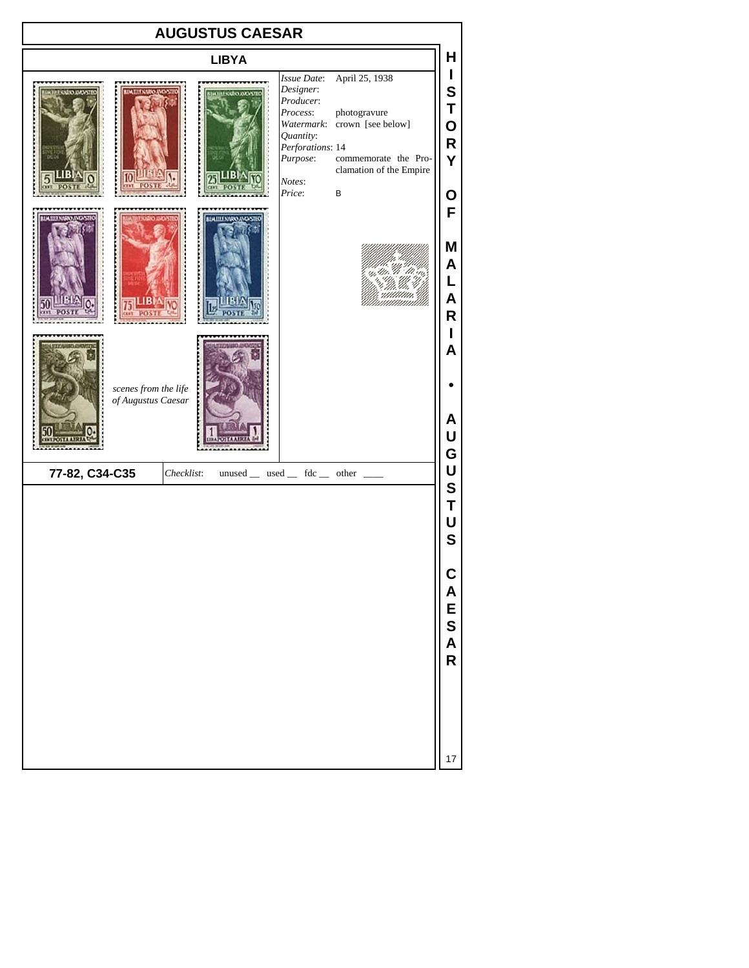| <b>AUGUSTUS CAESAR</b>                              |                                      |                                                                                                                                                                                                                               |                                                |
|-----------------------------------------------------|--------------------------------------|-------------------------------------------------------------------------------------------------------------------------------------------------------------------------------------------------------------------------------|------------------------------------------------|
|                                                     | <b>LIBYA</b><br><b>HISAROANOVSTE</b> | April 25, 1938<br>Issue Date:<br>Designer:<br>Producer:<br>Process:<br>photogravure<br>Watermark: crown [see below]<br>Quantity:<br>Perforations: 14<br>Purpose:<br>commemorate the Pro-<br>clamation of the Empire<br>Notes: | н<br>I<br>S<br>Τ<br>O<br>R<br>Ý                |
| 同LIBI<br>scenes from the life<br>of Augustus Caesar | BLWIILLNAROANOVSTEG                  | Price:<br>B                                                                                                                                                                                                                   | Ο<br>F<br>Μ<br>A<br>L<br>A<br>R<br>Α<br>A<br>U |
| 77-82, C34-C35                                      | Checklist:                           | $unused$ __ used __ fdc __ other __                                                                                                                                                                                           | G<br>U<br>S<br>Τ<br>U<br>$\mathbf s$<br>CAESA  |

**R**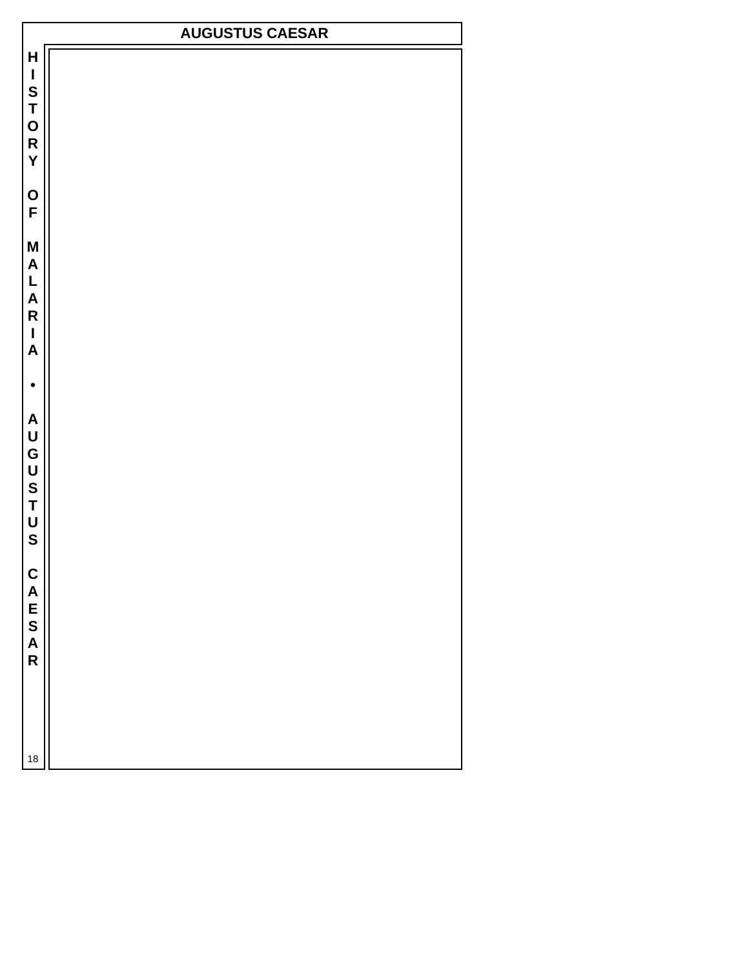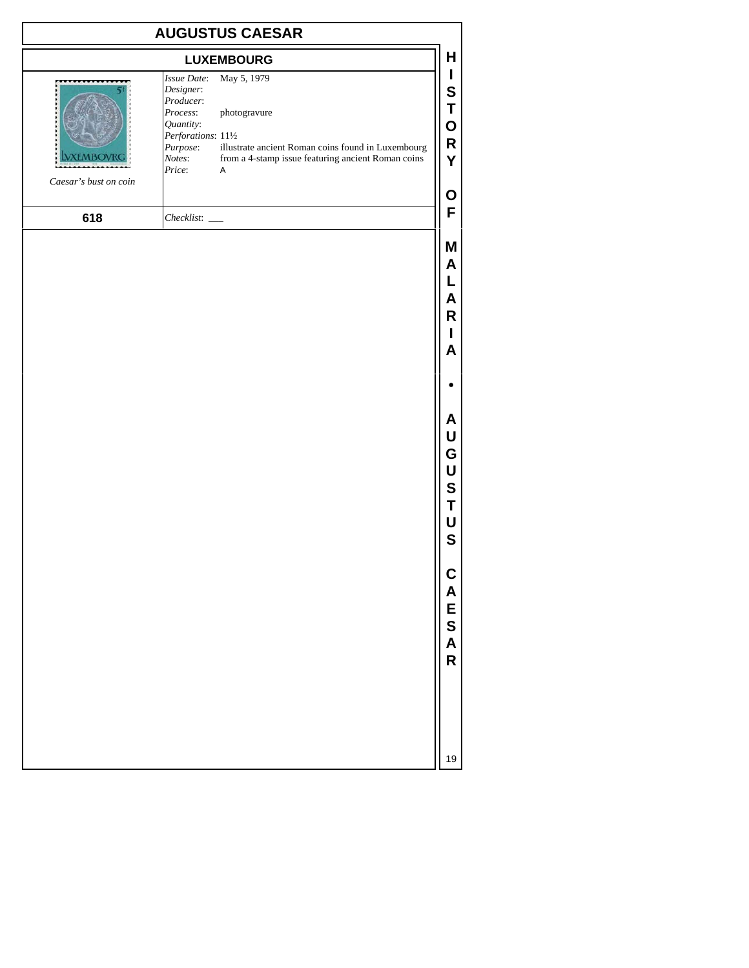| <b>AUGUSTUS CAESAR</b> |                                                                                                                                                                                                                                                                                 |                                                        |
|------------------------|---------------------------------------------------------------------------------------------------------------------------------------------------------------------------------------------------------------------------------------------------------------------------------|--------------------------------------------------------|
|                        | <b>LUXEMBOURG</b>                                                                                                                                                                                                                                                               | H                                                      |
|                        | May 5, 1979<br>Issue Date:<br>Designer:<br>Producer:<br>Process:<br>photogravure<br>Quantity:<br>Perforations: 111/2<br>Purpose:<br>illustrate ancient Roman coins found in Luxembourg<br>from a 4-stamp issue featuring ancient Roman coins<br>Notes:<br>Price:<br>$\mathsf A$ | L<br>S<br>Τ<br>O<br>R<br>Y                             |
| Caesar's bust on coin  |                                                                                                                                                                                                                                                                                 | Ο                                                      |
| 618                    |                                                                                                                                                                                                                                                                                 | F                                                      |
|                        |                                                                                                                                                                                                                                                                                 | Μ<br>A<br>L<br>A<br>R<br>ı<br>Α                        |
|                        |                                                                                                                                                                                                                                                                                 |                                                        |
|                        |                                                                                                                                                                                                                                                                                 | A<br>U<br>G<br>U<br>${\bf S}$<br>Τ<br>U<br>$\mathbf s$ |
|                        |                                                                                                                                                                                                                                                                                 | C<br>A<br>ESAR                                         |
|                        |                                                                                                                                                                                                                                                                                 | 19                                                     |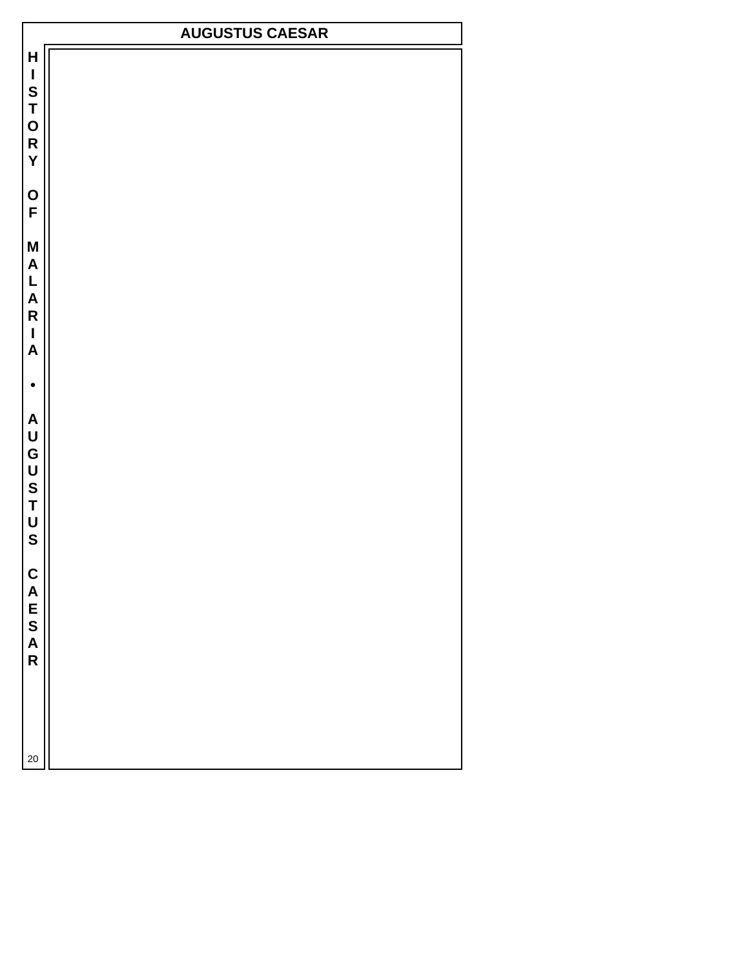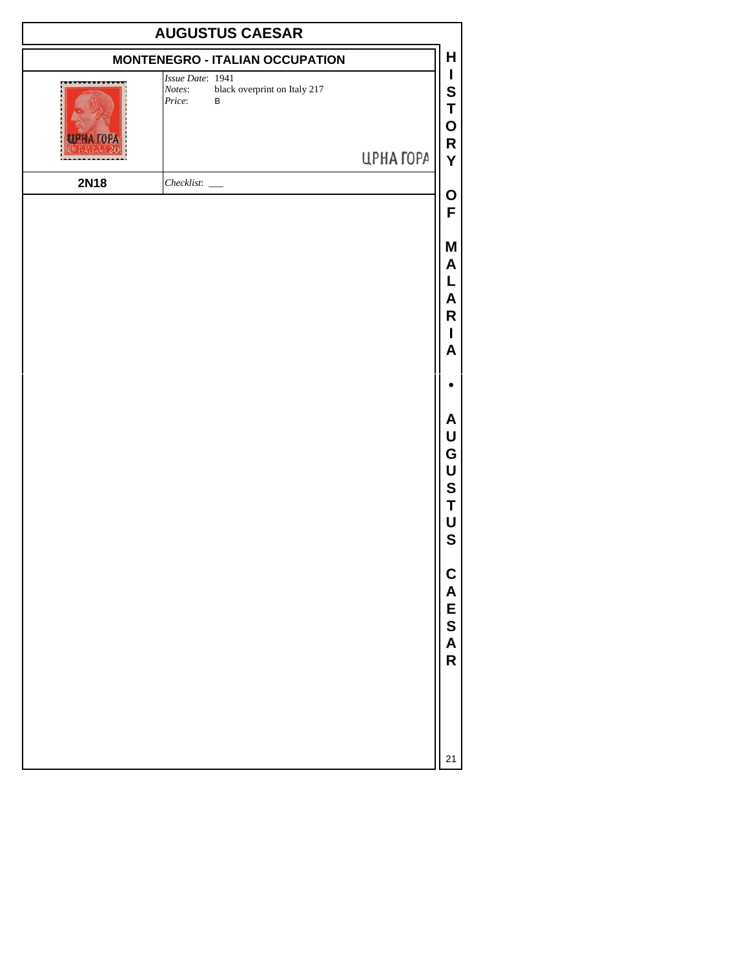| <b>AUGUSTUS CAESAR</b> |                                                                           |           |                                                                   |
|------------------------|---------------------------------------------------------------------------|-----------|-------------------------------------------------------------------|
|                        | <b>MONTENEGRO - ITALIAN OCCUPATION</b>                                    |           | Н                                                                 |
|                        | Issue Date: 1941<br>black overprint on Italy 217<br>Notes:<br>Price:<br>B | ЦРНА ГОРА | I<br>S<br>Τ<br>0<br>R<br>Y                                        |
| <b>2N18</b>            | $Checklist:$ $\_\_$                                                       |           |                                                                   |
|                        |                                                                           |           | O<br>F                                                            |
|                        |                                                                           |           | Μ<br>A<br>L<br>A<br>R<br>I<br>A                                   |
|                        |                                                                           |           |                                                                   |
|                        |                                                                           |           | A<br>U<br>G<br>U<br>S<br>Τ<br>U<br>$\mathbf S$                    |
|                        |                                                                           |           | <b>CAES</b><br>$\overline{\mathsf{A}}$<br>$\overline{\mathsf{R}}$ |
|                        |                                                                           |           | 21                                                                |